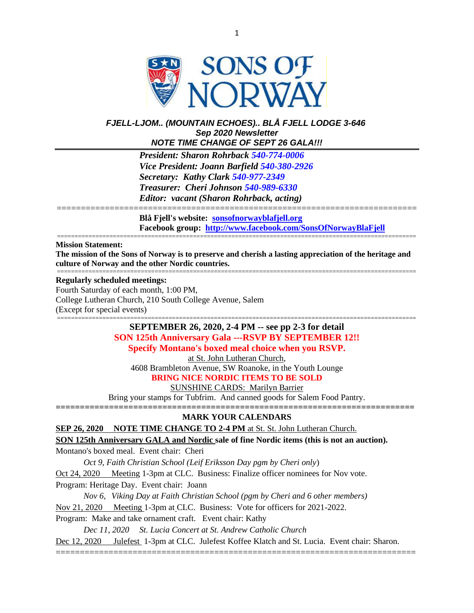

### *FJELL-LJOM.. (MOUNTAIN ECHOES).. BLÅ FJELL LODGE 3-646 Sep 2020 Newsletter NOTE TIME CHANGE OF SEPT 26 GALA!!!*

*President: Sharon Rohrback [540-774-0006](tel:540-977-2349) Vice President: Joann Barfield [540-380-2926](tel:540-977-2349) Secretary: Kathy Clark [540-977-2349](tel:540-977-2349) Treasurer: Cheri Johnson [540-989-6330](tel:540-774-0006) Editor: vacant (Sharon Rohrback, acting)*

**Blå Fjell's website: [sonsofnorwayblafjell.org](http://222.sonsofnorwayblafjell.org/) Facebook group: <http://www.facebook.com/SonsOfNorwayBlaFjell>**

=======================================================================================================

#### ======================================================================================================= **Mission Statement:**

**The mission of the Sons of Norway is to preserve and cherish a lasting appreciation of the heritage and culture of Norway and the other Nordic countries.** =======================================================================================================

===========================================================================

#### **Regularly scheduled meetings:**

Fourth Saturday of each month, 1:00 PM, College Lutheran Church, 210 South College Avenue, Salem (Except for special events)

> **SEPTEMBER 26, 2020, 2-4 PM -- see pp 2-3 for detail SON 125th Anniversary Gala ---RSVP BY SEPTEMBER 12!! Specify Montano's boxed meal choice when you RSVP.** at St. John Lutheran Church,

4608 Brambleton Avenue, SW Roanoke, in the Youth Lounge **BRING NICE NORDIC ITEMS TO BE SOLD** SUNSHINE CARDS: Marilyn Barrier

Bring your stamps for Tubfrim. And canned goods for Salem Food Pantry. **==========================================================================**

## **MARK YOUR CALENDARS**

**SEP 26, 2020 NOTE TIME CHANGE TO 2-4 PM** at St. St. John Lutheran Church.

**SON 125th Anniversary GALA and Nordic sale of fine Nordic items (this is not an auction).**

Montano's boxed meal. Event chair: Cheri

*Oct 9, Faith Christian School (Leif Eriksson Day pgm by Cheri only*)

Oct 24, 2020 Meeting 1-3pm at CLC. Business: Finalize officer nominees for Nov vote.

Program: Heritage Day. Event chair: Joann

*Nov 6, Viking Day at Faith Christian School (pgm by Cheri and 6 other members)*

Nov 21, 2020 Meeting 1-3pm at CLC. Business: Vote for officers for 2021-2022.

Program: Make and take ornament craft. Event chair: Kathy

*Dec 11, 2020 St. Lucia Concert at St. Andrew Catholic Church* Dec 12, 2020 Julefest 1-3pm at CLC. Julefest Koffee Klatch and St. Lucia. Event chair: Sharon. ===========================================================================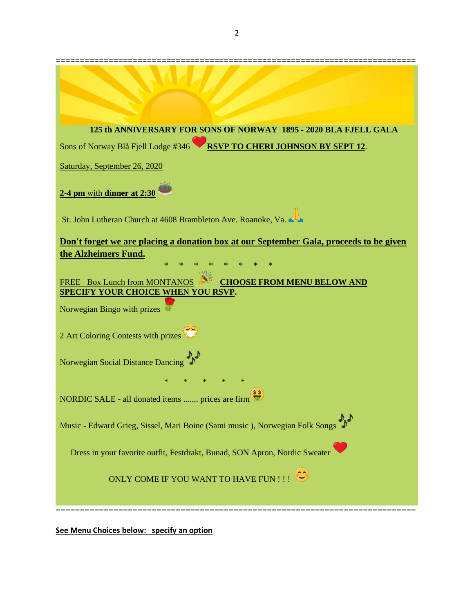| 125 th ANNIVERSARY FOR SONS OF NORWAY 1895 - 2020 BLA FJELL GALA                                                         |
|--------------------------------------------------------------------------------------------------------------------------|
| RSVP TO CHERI JOHNSON BY SEPT 12.<br>Sons of Norway Blå Fjell Lodge #346                                                 |
| Saturday, September 26, 2020                                                                                             |
| 2-4 pm with dinner at 2:30                                                                                               |
| St. John Lutheran Church at 4608 Brambleton Ave. Roanoke, Va.                                                            |
| Don't forget we are placing a donation box at our September Gala, proceeds to be given<br>the Alzheimers Fund.<br>$\ast$ |
| <b>CHOOSE FROM MENU BELOW AND</b><br>FREE Box Lunch from MONTANOS<br><b>SPECIFY YOUR CHOICE WHEN YOU RSVP.</b>           |
| Norwegian Bingo with prizes                                                                                              |
| 2 Art Coloring Contests with prizes                                                                                      |
| Norwegian Social Distance Dancing                                                                                        |
|                                                                                                                          |
| NORDIC SALE - all donated items  prices are firm                                                                         |
| Music - Edward Grieg, Sissel, Mari Boine (Sami music ), Norwegian Folk Songs                                             |
| Dress in your favorite outfit, Festdrakt, Bunad, SON Apron, Nordic Sweater                                               |
| ONLY COME IF YOU WANT TO HAVE FUN !!!                                                                                    |
|                                                                                                                          |

**See Menu Choices below: specify an option**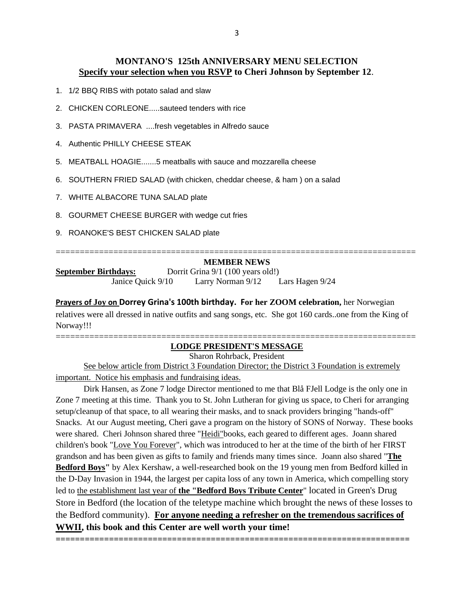## **MONTANO'S 125th ANNIVERSARY MENU SELECTION Specify your selection when you RSVP to Cheri Johnson by September 12**.

- 1. 1/2 BBQ RIBS with potato salad and slaw
- 2. CHICKEN CORLEONE.....sauteed tenders with rice
- 3. PASTA PRIMAVERA ....fresh vegetables in Alfredo sauce
- 4. Authentic PHILLY CHEESE STEAK
- 5. MEATBALL HOAGIE.......5 meatballs with sauce and mozzarella cheese
- 6. SOUTHERN FRIED SALAD (with chicken, cheddar cheese, & ham ) on a salad
- 7. WHITE ALBACORE TUNA SALAD plate
- 8. GOURMET CHEESE BURGER with wedge cut fries
- 9. ROANOKE'S BEST CHICKEN SALAD plate

#### =========================================================================== **MEMBER NEWS**

**September Birthdays:** Dorrit Grina 9/1 (100 years old!) Janice Quick 9/10 Larry Norman 9/12 Lars Hagen 9/24

**Prayers of Joy on Dorrey Grina's 100th birthday. For her ZOOM celebration,** her Norwegian relatives were all dressed in native outfits and sang songs, etc. She got 160 cards..one from the King of Norway!!!

### =========================================================================== **LODGE PRESIDENT'S MESSAGE**

Sharon Rohrback, President

See below article from District 3 Foundation Director; the District 3 Foundation is extremely important. Notice his emphasis and fundraising ideas.

Dirk Hansen, as Zone 7 lodge Director mentioned to me that Blå FJell Lodge is the only one in Zone 7 meeting at this time. Thank you to St. John Lutheran for giving us space, to Cheri for arranging setup/cleanup of that space, to all wearing their masks, and to snack providers bringing "hands-off" Snacks. At our August meeting, Cheri gave a program on the history of SONS of Norway. These books were shared. Cheri Johnson shared three "Heidi"books, each geared to different ages. Joann shared children's book "Love You Forever", which was introduced to her at the time of the birth of her FIRST grandson and has been given as gifts to family and friends many times since. Joann also shared "**The Bedford Boys"** by Alex Kershaw, a well-researched book on the 19 young men from Bedford killed in the D-Day Invasion in 1944, the largest per capita loss of any town in America, which compelling story led to the establishment last year of **the "Bedford Boys Tribute Center**" located in Green's Drug Store in Bedford (the location of the teletype machine which brought the news of these losses to the Bedford community). **For anyone needing a refresher on the tremendous sacrifices of WWII, this book and this Center are well worth your time!**

**=========================================================================**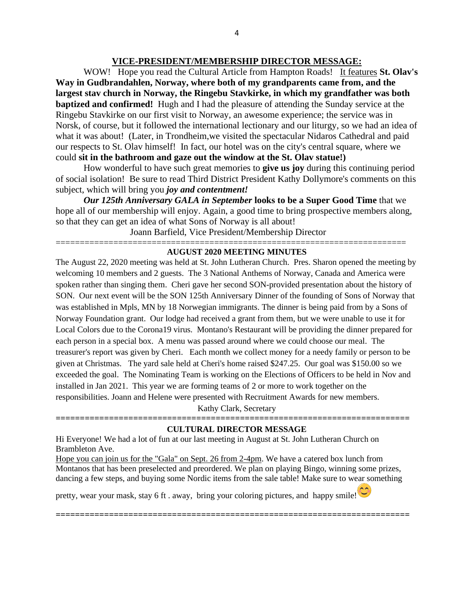## **VICE-PRESIDENT/MEMBERSHIP DIRECTOR MESSAGE:**

WOW! Hope you read the Cultural Article from Hampton Roads! It features **St. Olav's Way in Gudbrandahlen, Norway, where both of my grandparents came from, and the largest stav church in Norway, the Ringebu Stavkirke, in which my grandfather was both baptized and confirmed!** Hugh and I had the pleasure of attending the Sunday service at the Ringebu Stavkirke on our first visit to Norway, an awesome experience; the service was in Norsk, of course, but it followed the international lectionary and our liturgy, so we had an idea of what it was about! (Later, in Trondheim,we visited the spectacular Nidaros Cathedral and paid our respects to St. Olav himself! In fact, our hotel was on the city's central square, where we could **sit in the bathroom and gaze out the window at the St. Olav statue!)**

How wonderful to have such great memories to **give us joy** during this continuing period of social isolation! Be sure to read Third District President Kathy Dollymore's comments on this subject, which will bring you *joy and contentment!*

*Our 125th Anniversary GALA in September* **looks to be a Super Good Time** that we hope all of our membership will enjoy. Again, a good time to bring prospective members along, so that they can get an idea of what Sons of Norway is all about!

Joann Barfield, Vice President/Membership Director

#### ========================================================================= **AUGUST 2020 MEETING MINUTES**

The August 22, 2020 meeting was held at St. John Lutheran Church. Pres. Sharon opened the meeting by welcoming 10 members and 2 guests. The 3 National Anthems of Norway, Canada and America were spoken rather than singing them. Cheri gave her second SON-provided presentation about the history of SON. Our next event will be the SON 125th Anniversary Dinner of the founding of Sons of Norway that was established in Mpls, MN by 18 Norwegian immigrants. The dinner is being paid from by a Sons of Norway Foundation grant. Our lodge had received a grant from them, but we were unable to use it for Local Colors due to the Corona19 virus. Montano's Restaurant will be providing the dinner prepared for each person in a special box. A menu was passed around where we could choose our meal. The treasurer's report was given by Cheri. Each month we collect money for a needy family or person to be given at Christmas. The yard sale held at Cheri's home raised \$247.25. Our goal was \$150.00 so we exceeded the goal. The Nominating Team is working on the Elections of Officers to be held in Nov and installed in Jan 2021. This year we are forming teams of 2 or more to work together on the responsibilities. Joann and Helene were presented with Recruitment Awards for new members.

Kathy Clark, Secretary **=========================================================================**

## **CULTURAL DIRECTOR MESSAGE**

Hi Everyone! We had a lot of fun at our last meeting in August at St. John Lutheran Church on Brambleton Ave.

Hope you can join us for the "Gala" on Sept. 26 from 2-4pm. We have a catered box lunch from Montanos that has been preselected and preordered. We plan on playing Bingo, winning some prizes, dancing a few steps, and buying some Nordic items from the sale table! Make sure to wear something

**=========================================================================**

pretty, wear your mask, stay 6 ft . away, bring your coloring pictures, and happy smile!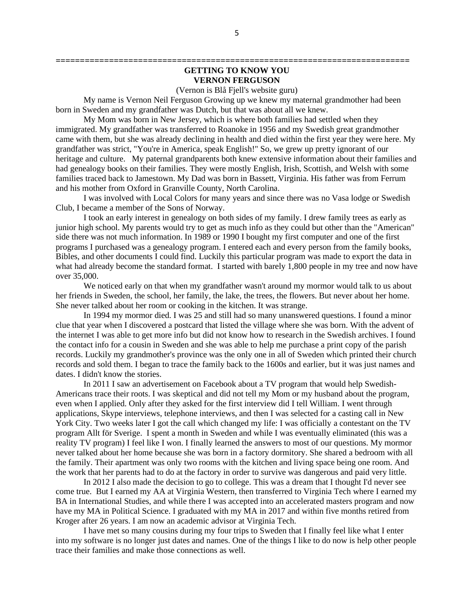## **GETTING TO KNOW YOU VERNON FERGUSON**

**=========================================================================**

(Vernon is Blå Fjell's website guru)

My name is Vernon Neil Ferguson Growing up we knew my maternal grandmother had been born in Sweden and my grandfather was Dutch, but that was about all we knew.

My Mom was born in New Jersey, which is where both families had settled when they immigrated. My grandfather was transferred to Roanoke in 1956 and my Swedish great grandmother came with them, but she was already declining in health and died within the first year they were here. My grandfather was strict, "You're in America, speak English!" So, we grew up pretty ignorant of our heritage and culture. My paternal grandparents both knew extensive information about their families and had genealogy books on their families. They were mostly English, Irish, Scottish, and Welsh with some families traced back to Jamestown. My Dad was born in Bassett, Virginia. His father was from Ferrum and his mother from Oxford in Granville County, North Carolina.

I was involved with Local Colors for many years and since there was no Vasa lodge or Swedish Club, I became a member of the Sons of Norway.

I took an early interest in genealogy on both sides of my family. I drew family trees as early as junior high school. My parents would try to get as much info as they could but other than the "American" side there was not much information. In 1989 or 1990 I bought my first computer and one of the first programs I purchased was a genealogy program. I entered each and every person from the family books, Bibles, and other documents I could find. Luckily this particular program was made to export the data in what had already become the standard format. I started with barely 1,800 people in my tree and now have over 35,000.

We noticed early on that when my grandfather wasn't around my mormor would talk to us about her friends in Sweden, the school, her family, the lake, the trees, the flowers. But never about her home. She never talked about her room or cooking in the kitchen. It was strange.

In 1994 my mormor died. I was 25 and still had so many unanswered questions. I found a minor clue that year when I discovered a postcard that listed the village where she was born. With the advent of the internet I was able to get more info but did not know how to research in the Swedish archives. I found the contact info for a cousin in Sweden and she was able to help me purchase a print copy of the parish records. Luckily my grandmother's province was the only one in all of Sweden which printed their church records and sold them. I began to trace the family back to the 1600s and earlier, but it was just names and dates. I didn't know the stories.

In 2011 I saw an advertisement on Facebook about a TV program that would help Swedish-Americans trace their roots. I was skeptical and did not tell my Mom or my husband about the program, even when I applied. Only after they asked for the first interview did I tell William. I went through applications, Skype interviews, telephone interviews, and then I was selected for a casting call in New York City. Two weeks later I got the call which changed my life: I was officially a contestant on the TV program Allt för Sverige. I spent a month in Sweden and while I was eventually eliminated (this was a reality TV program) I feel like I won. I finally learned the answers to most of our questions. My mormor never talked about her home because she was born in a factory dormitory. She shared a bedroom with all the family. Their apartment was only two rooms with the kitchen and living space being one room. And the work that her parents had to do at the factory in order to survive was dangerous and paid very little.

In 2012 I also made the decision to go to college. This was a dream that I thought I'd never see come true. But I earned my AA at Virginia Western, then transferred to Virginia Tech where I earned my BA in International Studies, and while there I was accepted into an accelerated masters program and now have my MA in Political Science. I graduated with my MA in 2017 and within five months retired from Kroger after 26 years. I am now an academic advisor at Virginia Tech.

I have met so many cousins during my four trips to Sweden that I finally feel like what I enter into my software is no longer just dates and names. One of the things I like to do now is help other people trace their families and make those connections as well.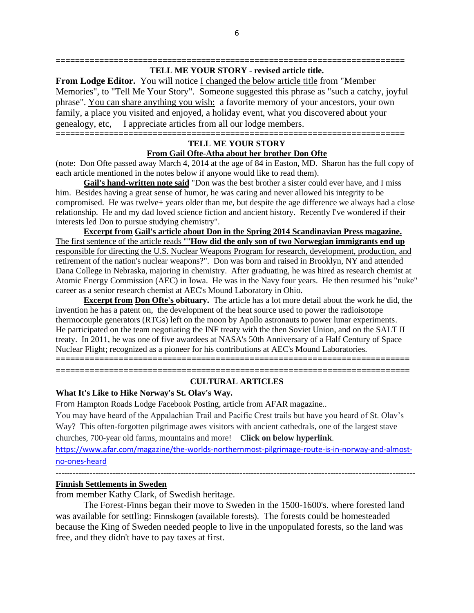#### **======================================================================== TELL ME YOUR STORY - revised article title.**

**From Lodge Editor.** You will notice I changed the below article title from "Member Memories", to "Tell Me Your Story". Someone suggested this phrase as "such a catchy, joyful phrase". You can share anything you wish: a favorite memory of your ancestors, your own family, a place you visited and enjoyed, a holiday event, what you discovered about your genealogy, etc, I appreciate articles from all our lodge members. **========================================================================**

## **TELL ME YOUR STORY From Gail Ofte-Atha about her brother Don Ofte**

(note: Don Ofte passed away March 4, 2014 at the age of 84 in Easton, MD. Sharon has the full copy of each article mentioned in the notes below if anyone would like to read them).

**Gail's hand-written note said** "Don was the best brother a sister could ever have, and I miss him. Besides having a great sense of humor, he was caring and never allowed his integrity to be compromised. He was twelve+ years older than me, but despite the age difference we always had a close relationship. He and my dad loved science fiction and ancient history. Recently I've wondered if their interests led Don to pursue studying chemistry".

**Excerpt from Gail's article about Don in the Spring 2014 Scandinavian Press magazine.** The first sentence of the article reads ""**How did the only son of two Norwegian immigrants end up** responsible for directing the U.S. Nuclear Weapons Program for research, development, production, and retirement of the nation's nuclear weapons?". Don was born and raised in Brooklyn, NY and attended Dana College in Nebraska, majoring in chemistry. After graduating, he was hired as research chemist at Atomic Energy Commission (AEC) in Iowa. He was in the Navy four years. He then resumed his "nuke" career as a senior research chemist at AEC's Mound Laboratory in Ohio.

**Excerpt from Don Ofte's obituary.** The article has a lot more detail about the work he did, the invention he has a patent on, the development of the heat source used to power the radioisotope thermocouple generators (RTGs) left on the moon by Apollo astronauts to power lunar experiments. He participated on the team negotiating the INF treaty with the then Soviet Union, and on the SALT II treaty. In 2011, he was one of five awardees at NASA's 50th Anniversary of a Half Century of Space Nuclear Flight; recognized as a pioneer for his contributions at AEC's Mound Laboratories.

**=========================================================================**

### **========================================================================= CULTURAL ARTICLES**

### **What It's Like to Hike Norway's St. Olav's Way.**

From Hampton Roads Lodge Facebook Posting, article from AFAR magazine..

You may have heard of the Appalachian Trail and Pacific Crest trails but have you heard of St. Olav's Way? This often-forgotten pilgrimage awes visitors with ancient cathedrals, one of the largest stave churches, 700-year old farms, mountains and more! **Click on below hyperlink**.

[https://www.afar.com/magazine/the-worlds-northernmost-pilgrimage-route-is-in-norway-and-almost](https://www.afar.com/magazine/the-worlds-northernmost-pilgrimage-route-is-in-norway-and-almost-no-ones-heard)[no-ones-heard](https://www.afar.com/magazine/the-worlds-northernmost-pilgrimage-route-is-in-norway-and-almost-no-ones-heard)

-------------------------------------------------------------------------------------------------------------------------------

# **Finnish Settlements in Sweden**

from member Kathy Clark, of Swedish heritage.

The Forest-Finns began their move to Sweden in the 1500-1600's. where forested land was available for settling: Finnskogen (available forests). The forests could be homesteaded because the King of Sweden needed people to live in the unpopulated forests, so the land was free, and they didn't have to pay taxes at first.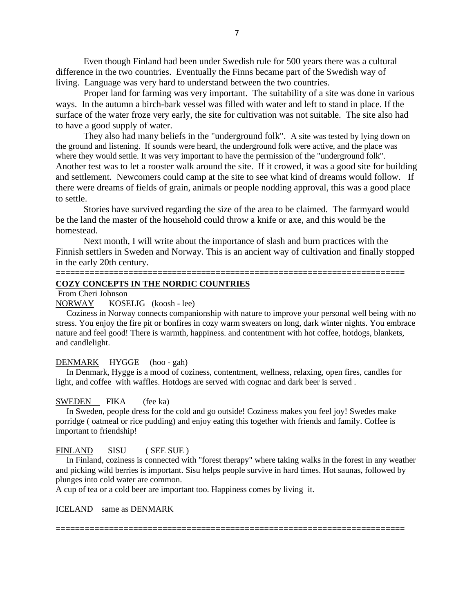Even though Finland had been under Swedish rule for 500 years there was a cultural difference in the two countries. Eventually the Finns became part of the Swedish way of living. Language was very hard to understand between the two countries.

Proper land for farming was very important. The suitability of a site was done in various ways. In the autumn a birch-bark vessel was filled with water and left to stand in place. If the surface of the water froze very early, the site for cultivation was not suitable. The site also had to have a good supply of water.

They also had many beliefs in the "underground folk". A site was tested by lying down on the ground and listening. If sounds were heard, the underground folk were active, and the place was where they would settle. It was very important to have the permission of the "underground folk". Another test was to let a rooster walk around the site. If it crowed, it was a good site for building and settlement. Newcomers could camp at the site to see what kind of dreams would follow. If there were dreams of fields of grain, animals or people nodding approval, this was a good place to settle.

Stories have survived regarding the size of the area to be claimed. The farmyard would be the land the master of the household could throw a knife or axe, and this would be the homestead.

Next month, I will write about the importance of slash and burn practices with the Finnish settlers in Sweden and Norway. This is an ancient way of cultivation and finally stopped in the early 20th century.

**========================================================================**

#### **COZY CONCEPTS IN THE NORDIC COUNTRIES**

From Cheri Johnson

NORWAY KOSELIG (koosh - lee)

Coziness in Norway connects companionship with nature to improve your personal well being with no stress. You enjoy the fire pit or bonfires in cozy warm sweaters on long, dark winter nights. You embrace nature and feel good! There is warmth, happiness. and contentment with hot coffee, hotdogs, blankets, and candlelight.

#### DENMARK HYGGE (hoo - gah)

In Denmark, Hygge is a mood of coziness, contentment, wellness, relaxing, open fires, candles for light, and coffee with waffles. Hotdogs are served with cognac and dark beer is served .

#### SWEDEN FIKA (fee ka)

In Sweden, people dress for the cold and go outside! Coziness makes you feel joy! Swedes make porridge ( oatmeal or rice pudding) and enjoy eating this together with friends and family. Coffee is important to friendship!

#### FINLAND SISU (SEE SUE)

In Finland, coziness is connected with "forest therapy" where taking walks in the forest in any weather and picking wild berries is important. Sisu helps people survive in hard times. Hot saunas, followed by plunges into cold water are common.

**========================================================================**

A cup of tea or a cold beer are important too. Happiness comes by living it.

ICELAND same as DENMARK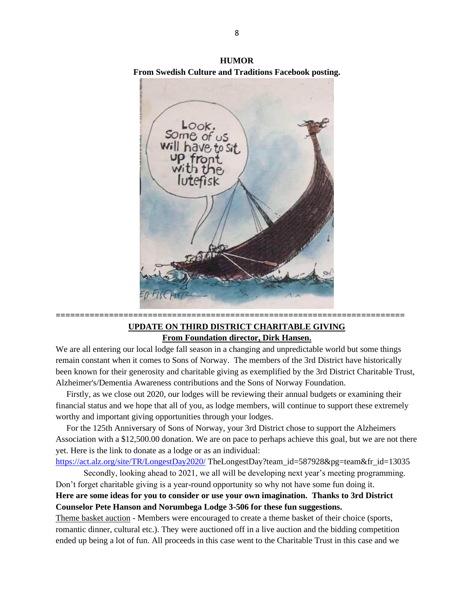

**HUMOR From Swedish Culture and Traditions Facebook posting.**

## **UPDATE ON THIRD DISTRICT CHARITABLE GIVING From Foundation director, Dirk Hansen.**

**========================================================================**

We are all entering our local lodge fall season in a changing and unpredictable world but some things remain constant when it comes to Sons of Norway. The members of the 3rd District have historically been known for their generosity and charitable giving as exemplified by the 3rd District Charitable Trust, Alzheimer's/Dementia Awareness contributions and the Sons of Norway Foundation.

Firstly, as we close out 2020, our lodges will be reviewing their annual budgets or examining their financial status and we hope that all of you, as lodge members, will continue to support these extremely worthy and important giving opportunities through your lodges.

For the 125th Anniversary of Sons of Norway, your 3rd District chose to support the Alzheimers Association with a \$12,500.00 donation. We are on pace to perhaps achieve this goal, but we are not there yet. Here is the link to donate as a lodge or as an individual:

<https://act.alz.org/site/TR/LongestDay2020/> TheLongestDay?team\_id=587928&pg=team&fr\_id=13035

Secondly, looking ahead to 2021, we all will be developing next year's meeting programming. Don't forget charitable giving is a year-round opportunity so why not have some fun doing it.

**Here are some ideas for you to consider or use your own imagination. Thanks to 3rd District Counselor Pete Hanson and Norumbega Lodge 3-506 for these fun suggestions.**

Theme basket auction - Members were encouraged to create a theme basket of their choice (sports, romantic dinner, cultural etc.). They were auctioned off in a live auction and the bidding competition ended up being a lot of fun. All proceeds in this case went to the Charitable Trust in this case and we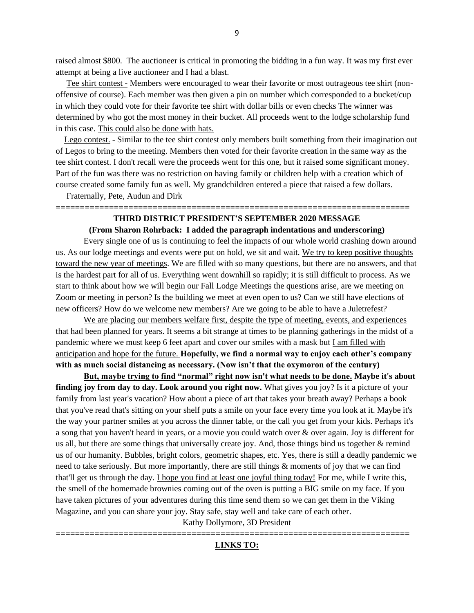raised almost \$800. The auctioneer is critical in promoting the bidding in a fun way. It was my first ever attempt at being a live auctioneer and I had a blast.

Tee shirt contest - Members were encouraged to wear their favorite or most outrageous tee shirt (nonoffensive of course). Each member was then given a pin on number which corresponded to a bucket/cup in which they could vote for their favorite tee shirt with dollar bills or even checks The winner was determined by who got the most money in their bucket. All proceeds went to the lodge scholarship fund in this case. This could also be done with hats.

Lego contest. - Similar to the tee shirt contest only members built something from their imagination out of Legos to bring to the meeting. Members then voted for their favorite creation in the same way as the tee shirt contest. I don't recall were the proceeds went for this one, but it raised some significant money. Part of the fun was there was no restriction on having family or children help with a creation which of course created some family fun as well. My grandchildren entered a piece that raised a few dollars.

Fraternally, Pete, Audun and Dirk

### **========================================================================= THIRD DISTRICT PRESIDENT'S SEPTEMBER 2020 MESSAGE**

#### **(From Sharon Rohrback: I added the paragraph indentations and underscoring)**

Every single one of us is continuing to feel the impacts of our whole world crashing down around us. As our lodge meetings and events were put on hold, we sit and wait. We try to keep positive thoughts toward the new year of meetings. We are filled with so many questions, but there are no answers, and that is the hardest part for all of us. Everything went downhill so rapidly; it is still difficult to process. As we start to think about how we will begin our Fall Lodge Meetings the questions arise, are we meeting on Zoom or meeting in person? Is the building we meet at even open to us? Can we still have elections of new officers? How do we welcome new members? Are we going to be able to have a Juletrefest?

We are placing our members welfare first, despite the type of meeting, events, and experiences that had been planned for years. It seems a bit strange at times to be planning gatherings in the midst of a pandemic where we must keep 6 feet apart and cover our smiles with a mask but I am filled with anticipation and hope for the future. **Hopefully, we find a normal way to enjoy each other's company with as much social distancing as necessary. (Now isn't that the oxymoron of the century)**

**But, maybe trying to find "normal" right now isn't what needs to be done. Maybe it's about finding joy from day to day. Look around you right now.** What gives you joy? Is it a picture of your family from last year's vacation? How about a piece of art that takes your breath away? Perhaps a book that you've read that's sitting on your shelf puts a smile on your face every time you look at it. Maybe it's the way your partner smiles at you across the dinner table, or the call you get from your kids. Perhaps it's a song that you haven't heard in years, or a movie you could watch over & over again. Joy is different for us all, but there are some things that universally create joy. And, those things bind us together & remind us of our humanity. Bubbles, bright colors, geometric shapes, etc. Yes, there is still a deadly pandemic we need to take seriously. But more importantly, there are still things & moments of joy that we can find that'll get us through the day. I hope you find at least one joyful thing today! For me, while I write this, the smell of the homemade brownies coming out of the oven is putting a BIG smile on my face. If you have taken pictures of your adventures during this time send them so we can get them in the Viking Magazine, and you can share your joy. Stay safe, stay well and take care of each other.

Kathy Dollymore, 3D President

### **========================================================================= LINKS TO:**